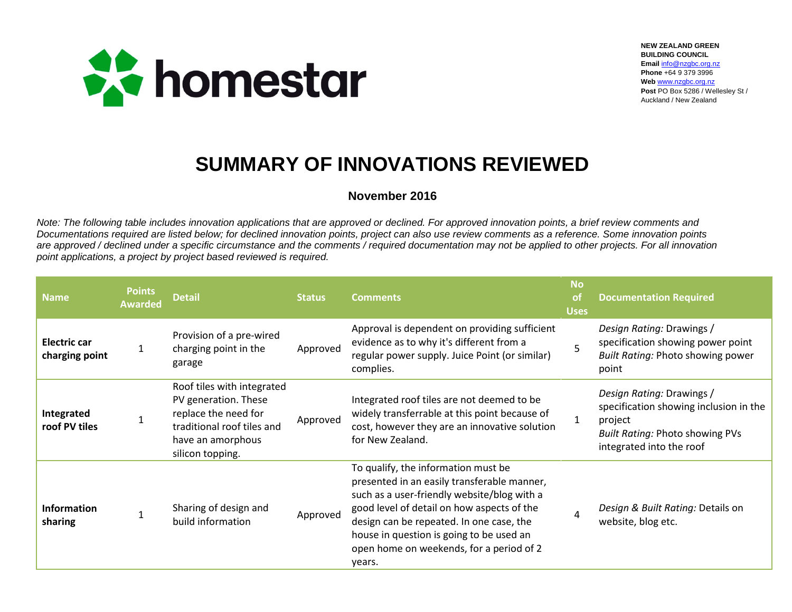

**NEW ZEALAND GREEN BUILDING COUNCIL Email** [info@nzgbc.org.nz](mailto:info@nzgbc.org.nz) **Phone** +64 9 379 3996 **Web** [www.nzgbc.org.nz](http://www.nzgbc.org.nz/) **Post** PO Box 5286 / Wellesley St / Auckland / New Zealand

## **SUMMARY OF INNOVATIONS REVIEWED**

## **November 2016**

*Note: The following table includes innovation applications that are approved or declined. For approved innovation points, a brief review comments and Documentations required are listed below; for declined innovation points, project can also use review comments as a reference. Some innovation points are approved / declined under a specific circumstance and the comments / required documentation may not be applied to other projects. For all innovation point applications, a project by project based reviewed is required.* 

| <b>Name</b>                    | <b>Points</b><br><b>Awarded</b> | <b>Detail</b>                                                                                                                                     | <b>Status</b> | <b>Comments</b>                                                                                                                                                                                                                                                                                                               | <b>No</b><br><sub>of</sub><br><b>Uses</b> | <b>Documentation Required</b>                                                                                                                        |
|--------------------------------|---------------------------------|---------------------------------------------------------------------------------------------------------------------------------------------------|---------------|-------------------------------------------------------------------------------------------------------------------------------------------------------------------------------------------------------------------------------------------------------------------------------------------------------------------------------|-------------------------------------------|------------------------------------------------------------------------------------------------------------------------------------------------------|
| Electric car<br>charging point |                                 | Provision of a pre-wired<br>charging point in the<br>garage                                                                                       | Approved      | Approval is dependent on providing sufficient<br>evidence as to why it's different from a<br>regular power supply. Juice Point (or similar)<br>complies.                                                                                                                                                                      |                                           | Design Rating: Drawings /<br>specification showing power point<br><b>Built Rating: Photo showing power</b><br>point                                  |
| Integrated<br>roof PV tiles    |                                 | Roof tiles with integrated<br>PV generation. These<br>replace the need for<br>traditional roof tiles and<br>have an amorphous<br>silicon topping. | Approved      | Integrated roof tiles are not deemed to be<br>widely transferrable at this point because of<br>cost, however they are an innovative solution<br>for New Zealand.                                                                                                                                                              | 1                                         | Design Rating: Drawings /<br>specification showing inclusion in the<br>project<br><b>Built Rating: Photo showing PVs</b><br>integrated into the roof |
| <b>Information</b><br>sharing  |                                 | Sharing of design and<br>build information                                                                                                        | Approved      | To qualify, the information must be<br>presented in an easily transferable manner,<br>such as a user-friendly website/blog with a<br>good level of detail on how aspects of the<br>design can be repeated. In one case, the<br>house in question is going to be used an<br>open home on weekends, for a period of 2<br>years. |                                           | Design & Built Rating: Details on<br>website, blog etc.                                                                                              |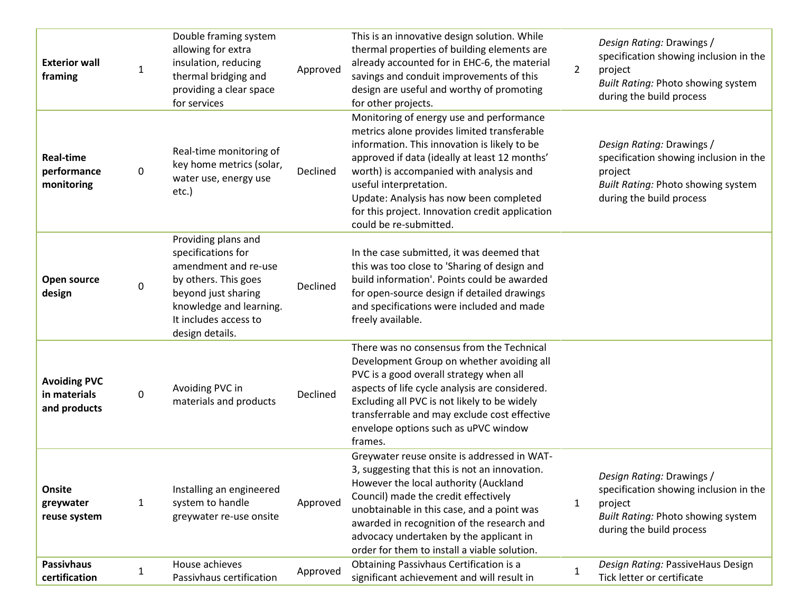| <b>Exterior wall</b><br>framing                     | $\mathbf{1}$ | Double framing system<br>allowing for extra<br>insulation, reducing<br>thermal bridging and<br>providing a clear space<br>for services                                                  | Approved | This is an innovative design solution. While<br>thermal properties of building elements are<br>already accounted for in EHC-6, the material<br>savings and conduit improvements of this<br>design are useful and worthy of promoting<br>for other projects.                                                                                                                           | $\overline{2}$ | Design Rating: Drawings /<br>specification showing inclusion in the<br>project<br>Built Rating: Photo showing system<br>during the build process        |
|-----------------------------------------------------|--------------|-----------------------------------------------------------------------------------------------------------------------------------------------------------------------------------------|----------|---------------------------------------------------------------------------------------------------------------------------------------------------------------------------------------------------------------------------------------------------------------------------------------------------------------------------------------------------------------------------------------|----------------|---------------------------------------------------------------------------------------------------------------------------------------------------------|
| <b>Real-time</b><br>performance<br>monitoring       | 0            | Real-time monitoring of<br>key home metrics (solar,<br>water use, energy use<br>etc.)                                                                                                   | Declined | Monitoring of energy use and performance<br>metrics alone provides limited transferable<br>information. This innovation is likely to be<br>approved if data (ideally at least 12 months'<br>worth) is accompanied with analysis and<br>useful interpretation.<br>Update: Analysis has now been completed<br>for this project. Innovation credit application<br>could be re-submitted. |                | Design Rating: Drawings /<br>specification showing inclusion in the<br>project<br><b>Built Rating: Photo showing system</b><br>during the build process |
| Open source<br>design                               | 0            | Providing plans and<br>specifications for<br>amendment and re-use<br>by others. This goes<br>beyond just sharing<br>knowledge and learning.<br>It includes access to<br>design details. | Declined | In the case submitted, it was deemed that<br>this was too close to 'Sharing of design and<br>build information'. Points could be awarded<br>for open-source design if detailed drawings<br>and specifications were included and made<br>freely available.                                                                                                                             |                |                                                                                                                                                         |
| <b>Avoiding PVC</b><br>in materials<br>and products | 0            | Avoiding PVC in<br>materials and products                                                                                                                                               | Declined | There was no consensus from the Technical<br>Development Group on whether avoiding all<br>PVC is a good overall strategy when all<br>aspects of life cycle analysis are considered.<br>Excluding all PVC is not likely to be widely<br>transferrable and may exclude cost effective<br>envelope options such as uPVC window<br>frames.                                                |                |                                                                                                                                                         |
| Onsite<br>greywater<br>reuse system                 | 1            | Installing an engineered<br>system to handle<br>greywater re-use onsite                                                                                                                 | Approved | Greywater reuse onsite is addressed in WAT-<br>3, suggesting that this is not an innovation.<br>However the local authority (Auckland<br>Council) made the credit effectively<br>unobtainable in this case, and a point was<br>awarded in recognition of the research and<br>advocacy undertaken by the applicant in<br>order for them to install a viable solution.                  | 1              | Design Rating: Drawings /<br>specification showing inclusion in the<br>project<br><b>Built Rating: Photo showing system</b><br>during the build process |
| <b>Passivhaus</b><br>certification                  | $\mathbf{1}$ | House achieves<br>Passivhaus certification                                                                                                                                              | Approved | Obtaining Passivhaus Certification is a<br>significant achievement and will result in                                                                                                                                                                                                                                                                                                 | 1              | Design Rating: PassiveHaus Design<br>Tick letter or certificate                                                                                         |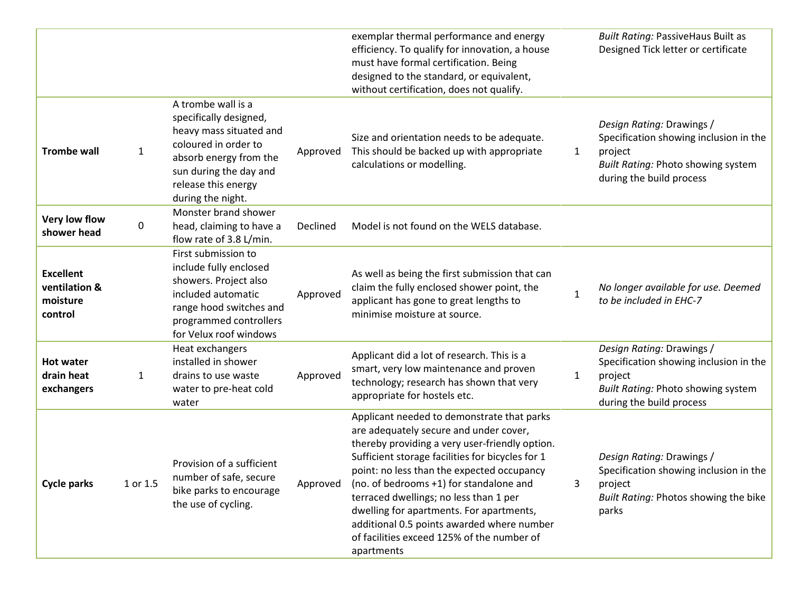|                                                          |              |                                                                                                                                                                                                 |          | exemplar thermal performance and energy<br>efficiency. To qualify for innovation, a house<br>must have formal certification. Being<br>designed to the standard, or equivalent,<br>without certification, does not qualify.                                                                                                                                                                                                                                                          |              | <b>Built Rating: PassiveHaus Built as</b><br>Designed Tick letter or certificate                                                                        |
|----------------------------------------------------------|--------------|-------------------------------------------------------------------------------------------------------------------------------------------------------------------------------------------------|----------|-------------------------------------------------------------------------------------------------------------------------------------------------------------------------------------------------------------------------------------------------------------------------------------------------------------------------------------------------------------------------------------------------------------------------------------------------------------------------------------|--------------|---------------------------------------------------------------------------------------------------------------------------------------------------------|
| <b>Trombe wall</b>                                       | $\mathbf{1}$ | A trombe wall is a<br>specifically designed,<br>heavy mass situated and<br>coloured in order to<br>absorb energy from the<br>sun during the day and<br>release this energy<br>during the night. | Approved | Size and orientation needs to be adequate.<br>This should be backed up with appropriate<br>calculations or modelling.                                                                                                                                                                                                                                                                                                                                                               | $\mathbf{1}$ | Design Rating: Drawings /<br>Specification showing inclusion in the<br>project<br><b>Built Rating: Photo showing system</b><br>during the build process |
| Very low flow<br>shower head                             | 0            | Monster brand shower<br>head, claiming to have a<br>flow rate of 3.8 L/min.                                                                                                                     | Declined | Model is not found on the WELS database.                                                                                                                                                                                                                                                                                                                                                                                                                                            |              |                                                                                                                                                         |
| <b>Excellent</b><br>ventilation &<br>moisture<br>control |              | First submission to<br>include fully enclosed<br>showers. Project also<br>included automatic<br>range hood switches and<br>programmed controllers<br>for Velux roof windows                     | Approved | As well as being the first submission that can<br>claim the fully enclosed shower point, the<br>applicant has gone to great lengths to<br>minimise moisture at source.                                                                                                                                                                                                                                                                                                              | $\mathbf{1}$ | No longer available for use. Deemed<br>to be included in EHC-7                                                                                          |
| <b>Hot water</b><br>drain heat<br>exchangers             | 1            | Heat exchangers<br>installed in shower<br>drains to use waste<br>water to pre-heat cold<br>water                                                                                                | Approved | Applicant did a lot of research. This is a<br>smart, very low maintenance and proven<br>technology; research has shown that very<br>appropriate for hostels etc.                                                                                                                                                                                                                                                                                                                    | $\mathbf{1}$ | Design Rating: Drawings /<br>Specification showing inclusion in the<br>project<br><b>Built Rating: Photo showing system</b><br>during the build process |
| <b>Cycle parks</b>                                       | 1 or 1.5     | Provision of a sufficient<br>number of safe, secure<br>bike parks to encourage<br>the use of cycling.                                                                                           | Approved | Applicant needed to demonstrate that parks<br>are adequately secure and under cover,<br>thereby providing a very user-friendly option.<br>Sufficient storage facilities for bicycles for 1<br>point: no less than the expected occupancy<br>(no. of bedrooms +1) for standalone and<br>terraced dwellings; no less than 1 per<br>dwelling for apartments. For apartments,<br>additional 0.5 points awarded where number<br>of facilities exceed 125% of the number of<br>apartments | 3            | Design Rating: Drawings /<br>Specification showing inclusion in the<br>project<br>Built Rating: Photos showing the bike<br>parks                        |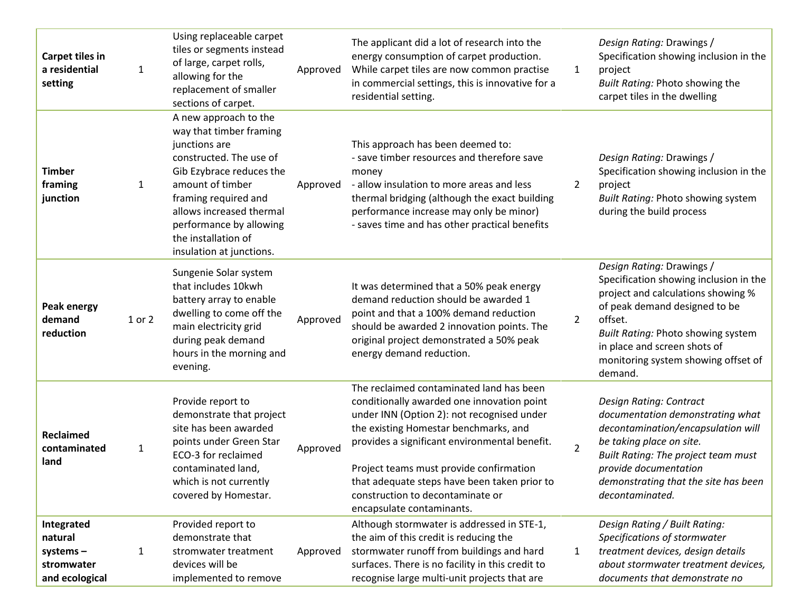| <b>Carpet tiles in</b><br>a residential<br>setting                | $\mathbf{1}$ | Using replaceable carpet<br>tiles or segments instead<br>of large, carpet rolls,<br>allowing for the<br>replacement of smaller<br>sections of carpet.                                                                                                                          | Approved | The applicant did a lot of research into the<br>energy consumption of carpet production.<br>While carpet tiles are now common practise<br>in commercial settings, this is innovative for a<br>residential setting.                                                                                                                                                                         | $\mathbf{1}$   | Design Rating: Drawings /<br>Specification showing inclusion in the<br>project<br>Built Rating: Photo showing the<br>carpet tiles in the dwelling                                                                                                                             |
|-------------------------------------------------------------------|--------------|--------------------------------------------------------------------------------------------------------------------------------------------------------------------------------------------------------------------------------------------------------------------------------|----------|--------------------------------------------------------------------------------------------------------------------------------------------------------------------------------------------------------------------------------------------------------------------------------------------------------------------------------------------------------------------------------------------|----------------|-------------------------------------------------------------------------------------------------------------------------------------------------------------------------------------------------------------------------------------------------------------------------------|
| <b>Timber</b><br>framing<br>junction                              | 1            | A new approach to the<br>way that timber framing<br>junctions are<br>constructed. The use of<br>Gib Ezybrace reduces the<br>amount of timber<br>framing required and<br>allows increased thermal<br>performance by allowing<br>the installation of<br>insulation at junctions. | Approved | This approach has been deemed to:<br>- save timber resources and therefore save<br>money<br>- allow insulation to more areas and less<br>thermal bridging (although the exact building<br>performance increase may only be minor)<br>- saves time and has other practical benefits                                                                                                         | $\overline{2}$ | Design Rating: Drawings /<br>Specification showing inclusion in the<br>project<br>Built Rating: Photo showing system<br>during the build process                                                                                                                              |
| <b>Peak energy</b><br>demand<br>reduction                         | 1 or 2       | Sungenie Solar system<br>that includes 10kwh<br>battery array to enable<br>dwelling to come off the<br>main electricity grid<br>during peak demand<br>hours in the morning and<br>evening.                                                                                     | Approved | It was determined that a 50% peak energy<br>demand reduction should be awarded 1<br>point and that a 100% demand reduction<br>should be awarded 2 innovation points. The<br>original project demonstrated a 50% peak<br>energy demand reduction.                                                                                                                                           | $2^{\circ}$    | Design Rating: Drawings /<br>Specification showing inclusion in the<br>project and calculations showing %<br>of peak demand designed to be<br>offset.<br>Built Rating: Photo showing system<br>in place and screen shots of<br>monitoring system showing offset of<br>demand. |
| Reclaimed<br>contaminated<br>land                                 | $\mathbf{1}$ | Provide report to<br>demonstrate that project<br>site has been awarded<br>points under Green Star<br>ECO-3 for reclaimed<br>contaminated land,<br>which is not currently<br>covered by Homestar.                                                                               | Approved | The reclaimed contaminated land has been<br>conditionally awarded one innovation point<br>under INN (Option 2): not recognised under<br>the existing Homestar benchmarks, and<br>provides a significant environmental benefit.<br>Project teams must provide confirmation<br>that adequate steps have been taken prior to<br>construction to decontaminate or<br>encapsulate contaminants. | $\overline{2}$ | Design Rating: Contract<br>documentation demonstrating what<br>decontamination/encapsulation will<br>be taking place on site.<br>Built Rating: The project team must<br>provide documentation<br>demonstrating that the site has been<br>decontaminated.                      |
| Integrated<br>natural<br>systems-<br>stromwater<br>and ecological | $\mathbf{1}$ | Provided report to<br>demonstrate that<br>stromwater treatment<br>devices will be<br>implemented to remove                                                                                                                                                                     | Approved | Although stormwater is addressed in STE-1,<br>the aim of this credit is reducing the<br>stormwater runoff from buildings and hard<br>surfaces. There is no facility in this credit to<br>recognise large multi-unit projects that are                                                                                                                                                      | $\mathbf{1}$   | Design Rating / Built Rating:<br>Specifications of stormwater<br>treatment devices, design details<br>about stormwater treatment devices,<br>documents that demonstrate no                                                                                                    |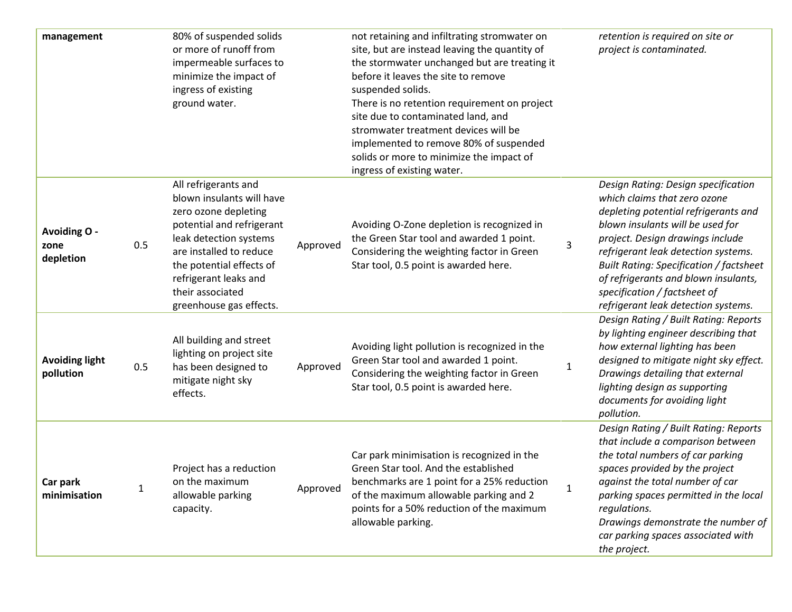| management                         |     | 80% of suspended solids<br>or more of runoff from<br>impermeable surfaces to<br>minimize the impact of<br>ingress of existing<br>ground water.                                                                                                                  |          | not retaining and infiltrating stromwater on<br>site, but are instead leaving the quantity of<br>the stormwater unchanged but are treating it<br>before it leaves the site to remove<br>suspended solids.<br>There is no retention requirement on project<br>site due to contaminated land, and<br>stromwater treatment devices will be<br>implemented to remove 80% of suspended<br>solids or more to minimize the impact of<br>ingress of existing water. |              | retention is required on site or<br>project is contaminated.                                                                                                                                                                                                                                                                                                                         |
|------------------------------------|-----|-----------------------------------------------------------------------------------------------------------------------------------------------------------------------------------------------------------------------------------------------------------------|----------|-------------------------------------------------------------------------------------------------------------------------------------------------------------------------------------------------------------------------------------------------------------------------------------------------------------------------------------------------------------------------------------------------------------------------------------------------------------|--------------|--------------------------------------------------------------------------------------------------------------------------------------------------------------------------------------------------------------------------------------------------------------------------------------------------------------------------------------------------------------------------------------|
| Avoiding O -<br>zone<br>depletion  | 0.5 | All refrigerants and<br>blown insulants will have<br>zero ozone depleting<br>potential and refrigerant<br>leak detection systems<br>are installed to reduce<br>the potential effects of<br>refrigerant leaks and<br>their associated<br>greenhouse gas effects. | Approved | Avoiding O-Zone depletion is recognized in<br>the Green Star tool and awarded 1 point.<br>Considering the weighting factor in Green<br>Star tool, 0.5 point is awarded here.                                                                                                                                                                                                                                                                                | 3            | Design Rating: Design specification<br>which claims that zero ozone<br>depleting potential refrigerants and<br>blown insulants will be used for<br>project. Design drawings include<br>refrigerant leak detection systems.<br>Built Rating: Specification / factsheet<br>of refrigerants and blown insulants,<br>specification / factsheet of<br>refrigerant leak detection systems. |
| <b>Avoiding light</b><br>pollution | 0.5 | All building and street<br>lighting on project site<br>has been designed to<br>mitigate night sky<br>effects.                                                                                                                                                   | Approved | Avoiding light pollution is recognized in the<br>Green Star tool and awarded 1 point.<br>Considering the weighting factor in Green<br>Star tool, 0.5 point is awarded here.                                                                                                                                                                                                                                                                                 | $\mathbf{1}$ | Design Rating / Built Rating: Reports<br>by lighting engineer describing that<br>how external lighting has been<br>designed to mitigate night sky effect.<br>Drawings detailing that external<br>lighting design as supporting<br>documents for avoiding light<br>pollution.                                                                                                         |
| Car park<br>minimisation           | 1   | Project has a reduction<br>on the maximum<br>allowable parking<br>capacity.                                                                                                                                                                                     | Approved | Car park minimisation is recognized in the<br>Green Star tool. And the established<br>benchmarks are 1 point for a 25% reduction<br>of the maximum allowable parking and 2<br>points for a 50% reduction of the maximum<br>allowable parking.                                                                                                                                                                                                               | 1            | Design Rating / Built Rating: Reports<br>that include a comparison between<br>the total numbers of car parking<br>spaces provided by the project<br>against the total number of car<br>parking spaces permitted in the local<br>regulations.<br>Drawings demonstrate the number of<br>car parking spaces associated with<br>the project.                                             |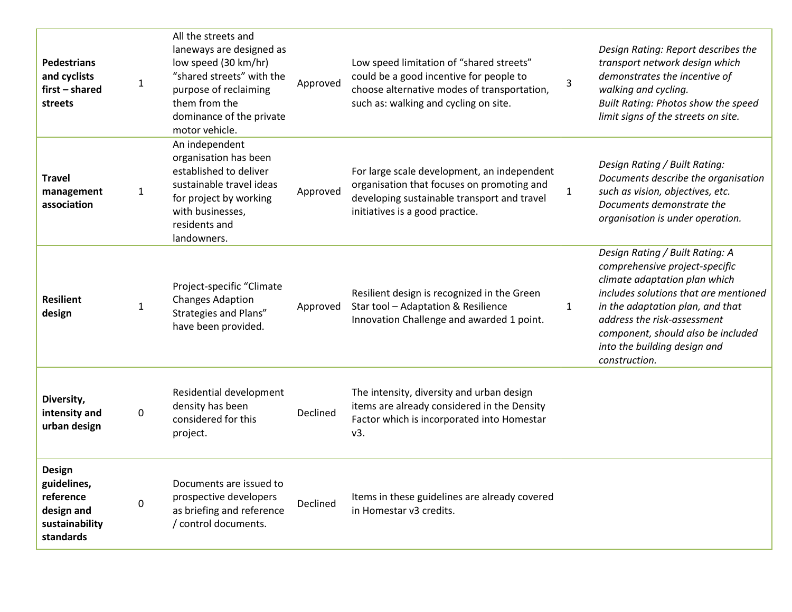| <b>Pedestrians</b><br>and cyclists<br>first - shared<br>streets                        | 1            | All the streets and<br>laneways are designed as<br>low speed (30 km/hr)<br>"shared streets" with the<br>purpose of reclaiming<br>them from the<br>dominance of the private<br>motor vehicle. | Approved | Low speed limitation of "shared streets"<br>could be a good incentive for people to<br>choose alternative modes of transportation,<br>such as: walking and cycling on site. | 3            | Design Rating: Report describes the<br>transport network design which<br>demonstrates the incentive of<br>walking and cycling.<br>Built Rating: Photos show the speed<br>limit signs of the streets on site.                                                                                          |
|----------------------------------------------------------------------------------------|--------------|----------------------------------------------------------------------------------------------------------------------------------------------------------------------------------------------|----------|-----------------------------------------------------------------------------------------------------------------------------------------------------------------------------|--------------|-------------------------------------------------------------------------------------------------------------------------------------------------------------------------------------------------------------------------------------------------------------------------------------------------------|
| <b>Travel</b><br>management<br>association                                             | $\mathbf{1}$ | An independent<br>organisation has been<br>established to deliver<br>sustainable travel ideas<br>for project by working<br>with businesses,<br>residents and<br>landowners.                  | Approved | For large scale development, an independent<br>organisation that focuses on promoting and<br>developing sustainable transport and travel<br>initiatives is a good practice. | $\mathbf{1}$ | Design Rating / Built Rating:<br>Documents describe the organisation<br>such as vision, objectives, etc.<br>Documents demonstrate the<br>organisation is under operation.                                                                                                                             |
| <b>Resilient</b><br>design                                                             | $\mathbf{1}$ | Project-specific "Climate<br><b>Changes Adaption</b><br>Strategies and Plans"<br>have been provided.                                                                                         | Approved | Resilient design is recognized in the Green<br>Star tool - Adaptation & Resilience<br>Innovation Challenge and awarded 1 point.                                             | $\mathbf{1}$ | Design Rating / Built Rating: A<br>comprehensive project-specific<br>climate adaptation plan which<br>includes solutions that are mentioned<br>in the adaptation plan, and that<br>address the risk-assessment<br>component, should also be included<br>into the building design and<br>construction. |
| Diversity,<br>intensity and<br>urban design                                            | 0            | Residential development<br>density has been<br>considered for this<br>project.                                                                                                               | Declined | The intensity, diversity and urban design<br>items are already considered in the Density<br>Factor which is incorporated into Homestar<br>v3.                               |              |                                                                                                                                                                                                                                                                                                       |
| <b>Design</b><br>guidelines,<br>reference<br>design and<br>sustainability<br>standards | 0            | Documents are issued to<br>prospective developers<br>as briefing and reference<br>/ control documents.                                                                                       | Declined | Items in these guidelines are already covered<br>in Homestar v3 credits.                                                                                                    |              |                                                                                                                                                                                                                                                                                                       |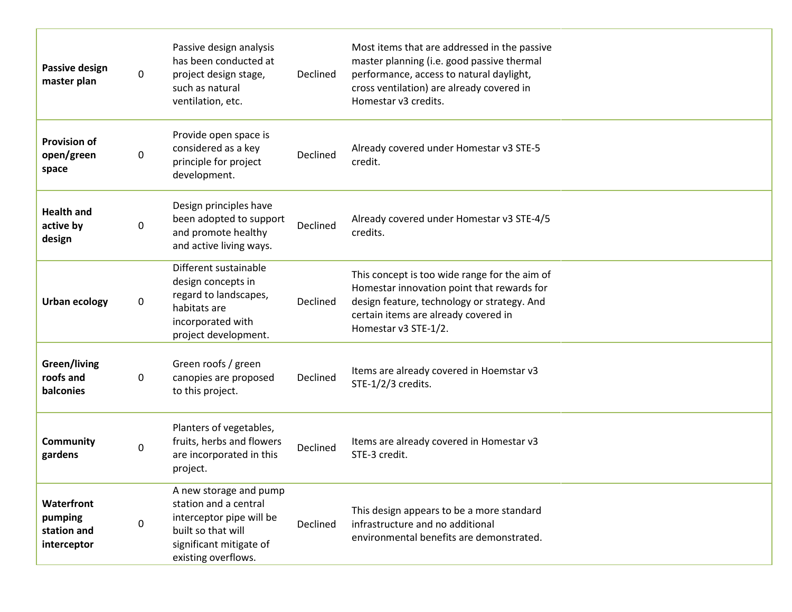| Passive design<br>master plan                       | 0 | Passive design analysis<br>has been conducted at<br>project design stage,<br>such as natural<br>ventilation, etc.                                   | Declined | Most items that are addressed in the passive<br>master planning (i.e. good passive thermal<br>performance, access to natural daylight,<br>cross ventilation) are already covered in<br>Homestar v3 credits. |
|-----------------------------------------------------|---|-----------------------------------------------------------------------------------------------------------------------------------------------------|----------|-------------------------------------------------------------------------------------------------------------------------------------------------------------------------------------------------------------|
| <b>Provision of</b><br>open/green<br>space          | 0 | Provide open space is<br>considered as a key<br>principle for project<br>development.                                                               | Declined | Already covered under Homestar v3 STE-5<br>credit.                                                                                                                                                          |
| <b>Health and</b><br>active by<br>design            | 0 | Design principles have<br>been adopted to support<br>and promote healthy<br>and active living ways.                                                 | Declined | Already covered under Homestar v3 STE-4/5<br>credits.                                                                                                                                                       |
| <b>Urban ecology</b>                                | 0 | Different sustainable<br>design concepts in<br>regard to landscapes,<br>habitats are<br>incorporated with<br>project development.                   | Declined | This concept is too wide range for the aim of<br>Homestar innovation point that rewards for<br>design feature, technology or strategy. And<br>certain items are already covered in<br>Homestar v3 STE-1/2.  |
| Green/living<br>roofs and<br>balconies              | 0 | Green roofs / green<br>canopies are proposed<br>to this project.                                                                                    | Declined | Items are already covered in Hoemstar v3<br>STE-1/2/3 credits.                                                                                                                                              |
| <b>Community</b><br>gardens                         | 0 | Planters of vegetables,<br>fruits, herbs and flowers<br>are incorporated in this<br>project.                                                        | Declined | Items are already covered in Homestar v3<br>STE-3 credit.                                                                                                                                                   |
| Waterfront<br>pumping<br>station and<br>interceptor | 0 | A new storage and pump<br>station and a central<br>interceptor pipe will be<br>built so that will<br>significant mitigate of<br>existing overflows. | Declined | This design appears to be a more standard<br>infrastructure and no additional<br>environmental benefits are demonstrated.                                                                                   |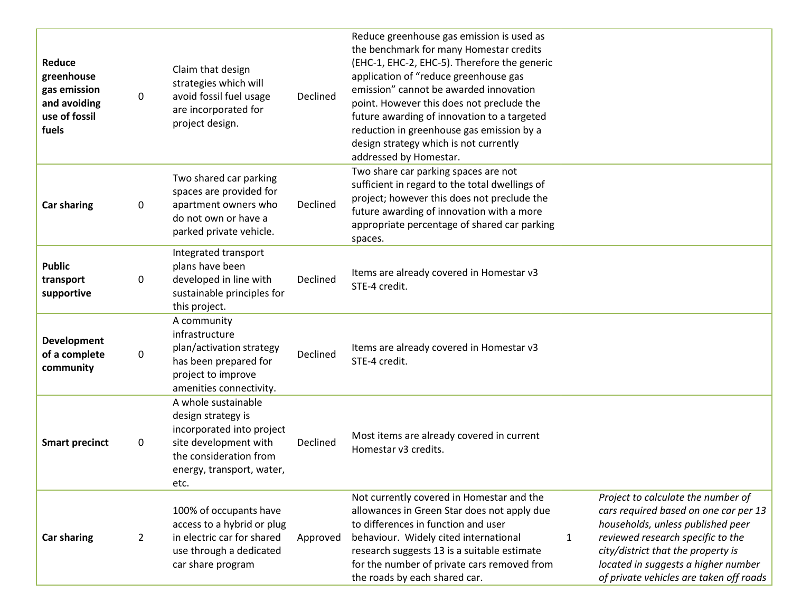| Reduce<br>greenhouse<br>gas emission<br>and avoiding<br>use of fossil<br>fuels | 0              | Claim that design<br>strategies which will<br>avoid fossil fuel usage<br>are incorporated for<br>project design.                                               | Declined | Reduce greenhouse gas emission is used as<br>the benchmark for many Homestar credits<br>(EHC-1, EHC-2, EHC-5). Therefore the generic<br>application of "reduce greenhouse gas<br>emission" cannot be awarded innovation<br>point. However this does not preclude the<br>future awarding of innovation to a targeted<br>reduction in greenhouse gas emission by a<br>design strategy which is not currently<br>addressed by Homestar. |              |                                                                                                                                                                                                                                                                               |
|--------------------------------------------------------------------------------|----------------|----------------------------------------------------------------------------------------------------------------------------------------------------------------|----------|--------------------------------------------------------------------------------------------------------------------------------------------------------------------------------------------------------------------------------------------------------------------------------------------------------------------------------------------------------------------------------------------------------------------------------------|--------------|-------------------------------------------------------------------------------------------------------------------------------------------------------------------------------------------------------------------------------------------------------------------------------|
| <b>Car sharing</b>                                                             | 0              | Two shared car parking<br>spaces are provided for<br>apartment owners who<br>do not own or have a<br>parked private vehicle.                                   | Declined | Two share car parking spaces are not<br>sufficient in regard to the total dwellings of<br>project; however this does not preclude the<br>future awarding of innovation with a more<br>appropriate percentage of shared car parking<br>spaces.                                                                                                                                                                                        |              |                                                                                                                                                                                                                                                                               |
| <b>Public</b><br>transport<br>supportive                                       | 0              | Integrated transport<br>plans have been<br>developed in line with<br>sustainable principles for<br>this project.                                               | Declined | Items are already covered in Homestar v3<br>STE-4 credit.                                                                                                                                                                                                                                                                                                                                                                            |              |                                                                                                                                                                                                                                                                               |
| <b>Development</b><br>of a complete<br>community                               | 0              | A community<br>infrastructure<br>plan/activation strategy<br>has been prepared for<br>project to improve<br>amenities connectivity.                            | Declined | Items are already covered in Homestar v3<br>STE-4 credit.                                                                                                                                                                                                                                                                                                                                                                            |              |                                                                                                                                                                                                                                                                               |
| <b>Smart precinct</b>                                                          | 0              | A whole sustainable<br>design strategy is<br>incorporated into project<br>site development with<br>the consideration from<br>energy, transport, water,<br>etc. | Declined | Most items are already covered in current<br>Homestar v3 credits.                                                                                                                                                                                                                                                                                                                                                                    |              |                                                                                                                                                                                                                                                                               |
| <b>Car sharing</b>                                                             | $\overline{2}$ | 100% of occupants have<br>access to a hybrid or plug<br>in electric car for shared<br>use through a dedicated<br>car share program                             | Approved | Not currently covered in Homestar and the<br>allowances in Green Star does not apply due<br>to differences in function and user<br>behaviour. Widely cited international<br>research suggests 13 is a suitable estimate<br>for the number of private cars removed from<br>the roads by each shared car.                                                                                                                              | $\mathbf{1}$ | Project to calculate the number of<br>cars required based on one car per 13<br>households, unless published peer<br>reviewed research specific to the<br>city/district that the property is<br>located in suggests a higher number<br>of private vehicles are taken off roads |